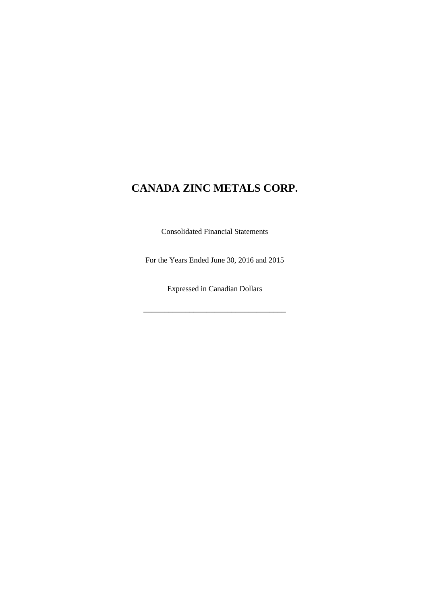Consolidated Financial Statements

For the Years Ended June 30, 2016 and 2015

Expressed in Canadian Dollars

\_\_\_\_\_\_\_\_\_\_\_\_\_\_\_\_\_\_\_\_\_\_\_\_\_\_\_\_\_\_\_\_\_\_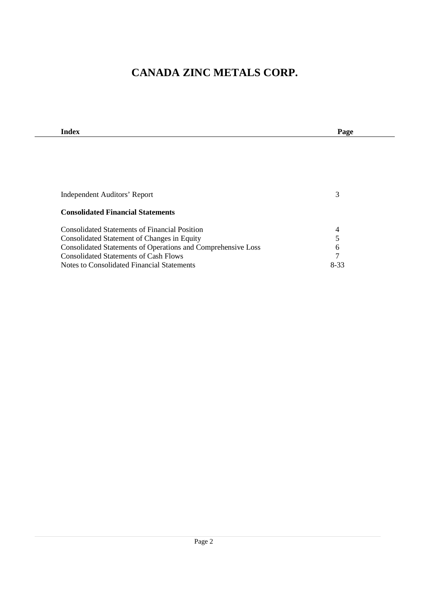| Index                                                        | Page           |  |
|--------------------------------------------------------------|----------------|--|
|                                                              |                |  |
|                                                              |                |  |
|                                                              |                |  |
|                                                              |                |  |
|                                                              |                |  |
|                                                              |                |  |
| Independent Auditors' Report                                 | 3              |  |
| <b>Consolidated Financial Statements</b>                     |                |  |
| <b>Consolidated Statements of Financial Position</b>         | $\overline{4}$ |  |
| Consolidated Statement of Changes in Equity                  | 5              |  |
| Consolidated Statements of Operations and Comprehensive Loss | 6              |  |
| <b>Consolidated Statements of Cash Flows</b>                 | 7              |  |
| Notes to Consolidated Financial Statements                   | 8-33           |  |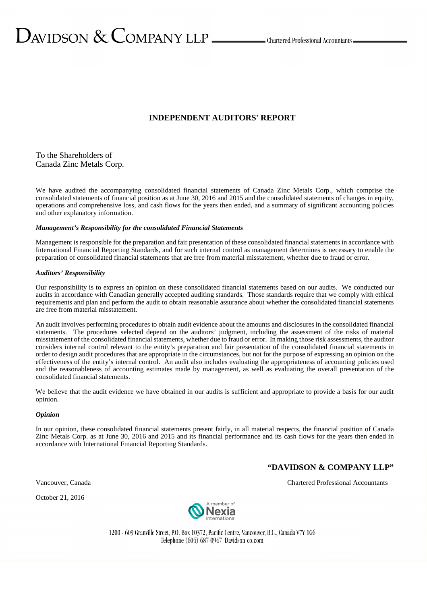#### **INDEPENDENT AUDITORS' REPORT**

To the Shareholders of Canada Zinc Metals Corp.

We have audited the accompanying consolidated financial statements of Canada Zinc Metals Corp., which comprise the consolidated statements of financial position as at June 30, 2016 and 2015 and the consolidated statements of changes in equity, operations and comprehensive loss, and cash flows for the years then ended, and a summary of significant accounting policies and other explanatory information.

#### *Management's Responsibility for the consolidated Financial Statements*

Management is responsible for the preparation and fair presentation of these consolidated financial statements in accordance with International Financial Reporting Standards, and for such internal control as management determines is necessary to enable the preparation of consolidated financial statements that are free from material misstatement, whether due to fraud or error.

#### *Auditors' Responsibility*

Our responsibility is to express an opinion on these consolidated financial statements based on our audits. We conducted our audits in accordance with Canadian generally accepted auditing standards. Those standards require that we comply with ethical requirements and plan and perform the audit to obtain reasonable assurance about whether the consolidated financial statements are free from material misstatement.

An audit involves performing procedures to obtain audit evidence about the amounts and disclosures in the consolidated financial statements. The procedures selected depend on the auditors' judgment, including the assessment of the risks of material misstatement of the consolidated financial statements, whether due to fraud or error. In making those risk assessments, the auditor considers internal control relevant to the entity's preparation and fair presentation of the consolidated financial statements in order to design audit procedures that are appropriate in the circumstances, but not for the purpose of expressing an opinion on the effectiveness of the entity's internal control. An audit also includes evaluating the appropriateness of accounting policies used and the reasonableness of accounting estimates made by management, as well as evaluating the overall presentation of the consolidated financial statements.

We believe that the audit evidence we have obtained in our audits is sufficient and appropriate to provide a basis for our audit opinion.

#### *Opinion*

In our opinion, these consolidated financial statements present fairly, in all material respects, the financial position of Canada Zinc Metals Corp. as at June 30, 2016 and 2015 and its financial performance and its cash flows for the years then ended in accordance with International Financial Reporting Standards.

### **"DAVIDSON & COMPANY LLP"**

October 21, 2016



1200 - 609 Granville Street, P.O. Box 10372, Pacific Centre, Vancouver, B.C., Canada V7Y 1G6 Telephone (604) 687-0947 Davidson-co.com

Vancouver, Canada Chartered Professional Accountants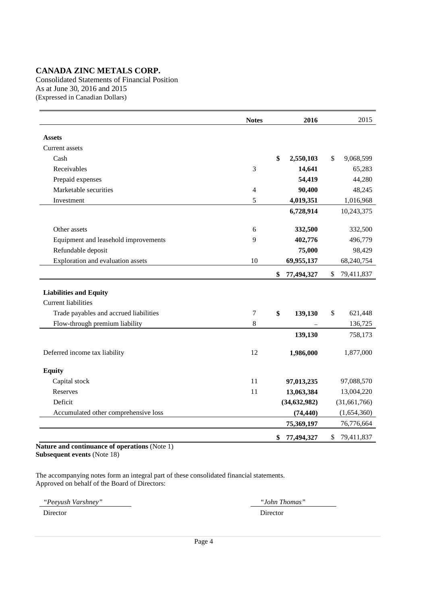Consolidated Statements of Financial Position As at June 30, 2016 and 2015 (Expressed in Canadian Dollars)

|                                        | <b>Notes</b>   | 2016             | 2015             |
|----------------------------------------|----------------|------------------|------------------|
| <b>Assets</b>                          |                |                  |                  |
|                                        |                |                  |                  |
| Current assets                         |                | \$               |                  |
| Cash                                   |                | 2,550,103        | \$<br>9,068,599  |
| Receivables                            | 3              | 14,641           | 65,283           |
| Prepaid expenses                       |                | 54,419           | 44,280           |
| Marketable securities                  | $\overline{4}$ | 90,400           | 48,245           |
| Investment                             | 5              | 4,019,351        | 1,016,968        |
|                                        |                | 6,728,914        | 10,243,375       |
| Other assets                           | 6              | 332,500          | 332,500          |
| Equipment and leasehold improvements   | 9              | 402,776          | 496,779          |
| Refundable deposit                     |                | 75,000           | 98,429           |
| Exploration and evaluation assets      | 10             | 69,955,137       | 68,240,754       |
|                                        |                | \$<br>77,494,327 | \$<br>79,411,837 |
| <b>Liabilities and Equity</b>          |                |                  |                  |
| <b>Current liabilities</b>             |                |                  |                  |
| Trade payables and accrued liabilities | 7              | \$<br>139,130    | \$<br>621,448    |
| Flow-through premium liability         | 8              |                  | 136,725          |
|                                        |                | 139,130          | 758,173          |
| Deferred income tax liability          | 12             | 1,986,000        | 1,877,000        |
| <b>Equity</b>                          |                |                  |                  |
| Capital stock                          | 11             | 97,013,235       | 97,088,570       |
| Reserves                               | 11             | 13,063,384       | 13,004,220       |
| Deficit                                |                | (34, 632, 982)   | (31, 661, 766)   |
| Accumulated other comprehensive loss   |                | (74, 440)        | (1,654,360)      |
|                                        |                | 75,369,197       | 76,776,664       |
|                                        |                | \$<br>77,494,327 | \$<br>79,411,837 |

**Nature and continuance of operations** (Note 1) **Subsequent events** (Note 18)

The accompanying notes form an integral part of these consolidated financial statements. Approved on behalf of the Board of Directors:

*"Peeyush Varshney" "John Thomas"* 

Director Director Director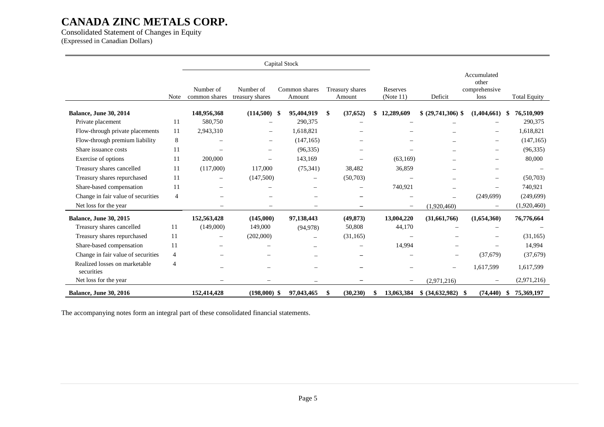Consolidated Statement of Changes in Equity (Expressed in Canadian Dollars)

|                                             |                |                            |                              | Capital Stock |                         |    |                           |                          |                          |                                               |                     |
|---------------------------------------------|----------------|----------------------------|------------------------------|---------------|-------------------------|----|---------------------------|--------------------------|--------------------------|-----------------------------------------------|---------------------|
|                                             | Note           | Number of<br>common shares | Number of<br>treasury shares |               | Common shares<br>Amount |    | Treasury shares<br>Amount | Reserves<br>(Note 11)    | Deficit                  | Accumulated<br>other<br>comprehensive<br>loss | <b>Total Equity</b> |
| Balance, June 30, 2014                      |                | 148,956,368                | $(114,500)$ \$               |               | 95,404,919              | -S | (37, 652)                 | 12,289,609               | \$ (29,741,306)          | (1,404,661)                                   | 76,510,909<br>S     |
| Private placement                           | 11             | 580,750                    |                              |               | 290,375                 |    |                           |                          |                          |                                               | 290,375             |
| Flow-through private placements             | 11             | 2,943,310                  |                              |               | 1,618,821               |    |                           |                          |                          |                                               | 1,618,821           |
| Flow-through premium liability              | 8              | -                          | $\overline{\phantom{0}}$     |               | (147, 165)              |    |                           |                          |                          | -                                             | (147, 165)          |
| Share issuance costs                        | 11             |                            |                              |               | (96, 335)               |    |                           |                          |                          | $\overline{\phantom{0}}$                      | (96, 335)           |
| Exercise of options                         | 11             | 200,000                    |                              |               | 143,169                 |    |                           | (63,169)                 |                          | $\overline{\phantom{0}}$                      | 80,000              |
| Treasury shares cancelled                   | 11             | (117,000)                  | 117,000                      |               | (75, 341)               |    | 38,482                    | 36,859                   |                          |                                               |                     |
| Treasury shares repurchased                 | 11             | $\overline{\phantom{0}}$   | (147,500)                    |               |                         |    | (50,703)                  |                          |                          |                                               | (50,703)            |
| Share-based compensation                    | 11             |                            |                              |               |                         |    |                           | 740,921                  |                          |                                               | 740,921             |
| Change in fair value of securities          | $\overline{4}$ |                            |                              |               |                         |    |                           |                          |                          | (249, 699)                                    | (249, 699)          |
| Net loss for the year                       |                |                            |                              |               | -                       |    |                           | $\qquad \qquad -$        | (1.920.460)              | $\overline{\phantom{0}}$                      | (1,920,460)         |
| <b>Balance, June 30, 2015</b>               |                | 152,563,428                | (145,000)                    |               | 97,138,443              |    | (49, 873)                 | 13,004,220               | (31,661,766)             | (1,654,360)                                   | 76,776,664          |
| Treasury shares cancelled                   | 11             | (149,000)                  | 149,000                      |               | (94, 978)               |    | 50,808                    | 44,170                   |                          |                                               |                     |
| Treasury shares repurchased                 | 11             | $\overline{\phantom{0}}$   | (202,000)                    |               |                         |    | (31, 165)                 |                          |                          |                                               | (31, 165)           |
| Share-based compensation                    | 11             |                            |                              |               |                         |    |                           | 14,994                   |                          | $\overline{\phantom{0}}$                      | 14,994              |
| Change in fair value of securities          | 4              |                            |                              |               |                         |    |                           |                          | $\overline{\phantom{m}}$ | (37,679)                                      | (37,679)            |
| Realized losses on marketable<br>securities | $\overline{4}$ | $\overline{\phantom{0}}$   |                              |               |                         |    |                           |                          | $\overline{\phantom{0}}$ | 1,617,599                                     | 1,617,599           |
| Net loss for the year                       |                |                            |                              |               |                         |    |                           | $\overline{\phantom{m}}$ | (2,971,216)              | $\overline{\phantom{0}}$                      | (2,971,216)         |
| <b>Balance, June 30, 2016</b>               |                | 152,414,428                | (198,000)                    | -S            | 97,043,465              |    | (30, 230)                 | 13,063,384               | \$ (34,632,982)          | (74, 440)<br>- \$                             | 75,369,197<br>S     |

The accompanying notes form an integral part of these consolidated financial statements.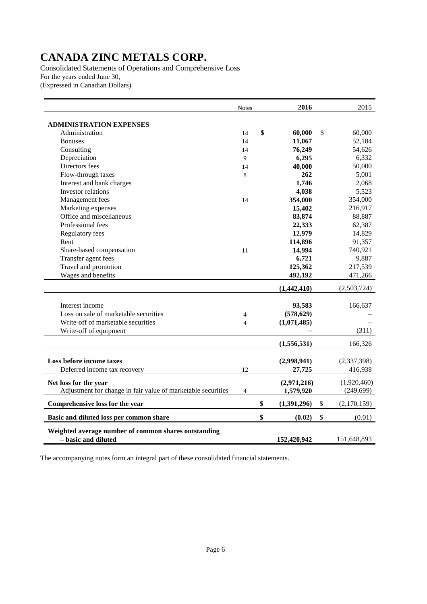Consolidated Statements of Operations and Comprehensive Loss For the years ended June 30, (Expressed in Canadian Dollars)

|                                                                             | <b>Notes</b>   |    | 2016        | 2015              |
|-----------------------------------------------------------------------------|----------------|----|-------------|-------------------|
| <b>ADMINISTRATION EXPENSES</b>                                              |                |    |             |                   |
| Administration                                                              | 14             | \$ | 60,000      | \$<br>60,000      |
| <b>Bonuses</b>                                                              | 14             |    | 11,067      | 52,184            |
| Consulting                                                                  | 14             |    | 76,249      | 54,626            |
| Depreciation                                                                | 9              |    | 6,295       | 6,332             |
| Directors fees                                                              | 14             |    | 40,000      | 50,000            |
| Flow-through taxes                                                          | 8              |    | 262         | 5,001             |
| Interest and bank charges                                                   |                |    | 1,746       | 2,068             |
| Investor relations                                                          |                |    | 4,038       | 5,523             |
| Management fees                                                             | 14             |    | 354,000     | 354,000           |
| Marketing expenses                                                          |                |    | 15,402      | 216,917           |
| Office and miscellaneous                                                    |                |    | 83,874      | 88,887            |
| Professional fees                                                           |                |    | 22,333      | 62,387            |
| Regulatory fees                                                             |                |    | 12,979      | 14,829            |
| Rent                                                                        |                |    | 114,896     | 91,357            |
| Share-based compensation                                                    | 11             |    | 14,994      | 740,921           |
| Transfer agent fees                                                         |                |    | 6,721       | 9,887             |
| Travel and promotion                                                        |                |    | 125,362     | 217,539           |
| Wages and benefits                                                          |                |    | 492,192     | 471,266           |
|                                                                             |                |    | (1,442,410) | (2,503,724)       |
|                                                                             |                |    |             |                   |
| Interest income                                                             |                |    | 93,583      | 166,637           |
| Loss on sale of marketable securities                                       | 4              |    | (578, 629)  |                   |
| Write-off of marketable securities                                          | $\overline{4}$ |    | (1,071,485) |                   |
| Write-off of equipment                                                      |                |    |             | (311)             |
|                                                                             |                |    | (1,556,531) | 166,326           |
|                                                                             |                |    |             |                   |
| Loss before income taxes                                                    |                |    | (2,998,941) | (2,337,398)       |
| Deferred income tax recovery                                                | 12             |    | 27,725      | 416,938           |
| Net loss for the year                                                       |                |    | (2,971,216) | (1,920,460)       |
| Adjustment for change in fair value of marketable securities                | $\overline{4}$ |    | 1,579,920   | (249, 699)        |
| Comprehensive loss for the year                                             |                | \$ | (1,391,296) | \$<br>(2,170,159) |
|                                                                             |                |    |             |                   |
| Basic and diluted loss per common share                                     |                | \$ | (0.02)      | \$<br>(0.01)      |
| Weighted average number of common shares outstanding<br>– basic and diluted |                |    | 152,420,942 | 151,648,893       |

The accompanying notes form an integral part of these consolidated financial statements.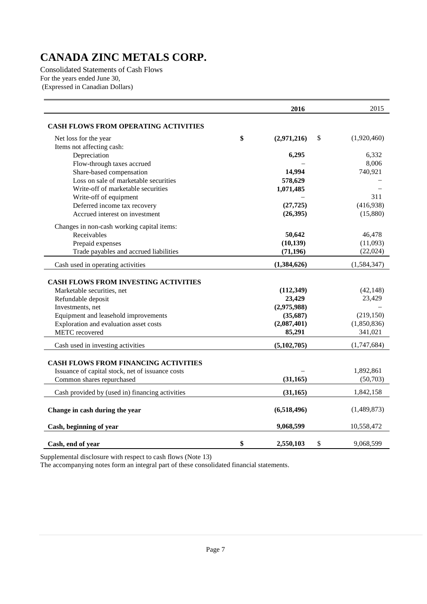Consolidated Statements of Cash Flows For the years ended June 30, (Expressed in Canadian Dollars)

|                                                                                                                                                                                                                         | 2016                                                                      | 2015                                                        |
|-------------------------------------------------------------------------------------------------------------------------------------------------------------------------------------------------------------------------|---------------------------------------------------------------------------|-------------------------------------------------------------|
| <b>CASH FLOWS FROM OPERATING ACTIVITIES</b>                                                                                                                                                                             |                                                                           |                                                             |
| Net loss for the year                                                                                                                                                                                                   | \$<br>(2,971,216)<br>\$                                                   | (1,920,460)                                                 |
| Items not affecting cash:                                                                                                                                                                                               |                                                                           |                                                             |
| Depreciation                                                                                                                                                                                                            | 6,295                                                                     | 6,332                                                       |
| Flow-through taxes accrued                                                                                                                                                                                              |                                                                           | 8,006                                                       |
| Share-based compensation                                                                                                                                                                                                | 14,994                                                                    | 740,921                                                     |
| Loss on sale of marketable securities                                                                                                                                                                                   | 578,629                                                                   |                                                             |
| Write-off of marketable securities                                                                                                                                                                                      | 1,071,485                                                                 |                                                             |
| Write-off of equipment                                                                                                                                                                                                  |                                                                           | 311                                                         |
| Deferred income tax recovery                                                                                                                                                                                            | (27, 725)                                                                 | (416,938)                                                   |
| Accrued interest on investment                                                                                                                                                                                          | (26, 395)                                                                 | (15,880)                                                    |
| Changes in non-cash working capital items:                                                                                                                                                                              |                                                                           |                                                             |
| Receivables                                                                                                                                                                                                             | 50,642                                                                    | 46,478                                                      |
| Prepaid expenses                                                                                                                                                                                                        | (10, 139)                                                                 | (11,093)                                                    |
| Trade payables and accrued liabilities                                                                                                                                                                                  | (71, 196)                                                                 | (22,024)                                                    |
| Cash used in operating activities                                                                                                                                                                                       | (1,384,626)                                                               | (1, 584, 347)                                               |
| <b>CASH FLOWS FROM INVESTING ACTIVITIES</b><br>Marketable securities, net<br>Refundable deposit<br>Investments, net<br>Equipment and leasehold improvements<br>Exploration and evaluation asset costs<br>METC recovered | (112, 349)<br>23,429<br>(2,975,988)<br>(35, 687)<br>(2,087,401)<br>85,291 | (42, 148)<br>23,429<br>(219, 150)<br>(1,850,836)<br>341,021 |
|                                                                                                                                                                                                                         |                                                                           |                                                             |
| Cash used in investing activities                                                                                                                                                                                       | (5, 102, 705)                                                             | (1,747,684)                                                 |
| <b>CASH FLOWS FROM FINANCING ACTIVITIES</b><br>Issuance of capital stock, net of issuance costs<br>Common shares repurchased                                                                                            | (31, 165)                                                                 | 1,892,861<br>(50,703)                                       |
| Cash provided by (used in) financing activities                                                                                                                                                                         | (31, 165)                                                                 | 1,842,158                                                   |
| Change in cash during the year                                                                                                                                                                                          | (6,518,496)                                                               | (1,489,873)                                                 |
| Cash, beginning of year                                                                                                                                                                                                 | 9,068,599                                                                 | 10,558,472                                                  |
| Cash, end of year                                                                                                                                                                                                       | \$<br>\$<br>2,550,103                                                     | 9,068,599                                                   |

Supplemental disclosure with respect to cash flows (Note 13)

The accompanying notes form an integral part of these consolidated financial statements.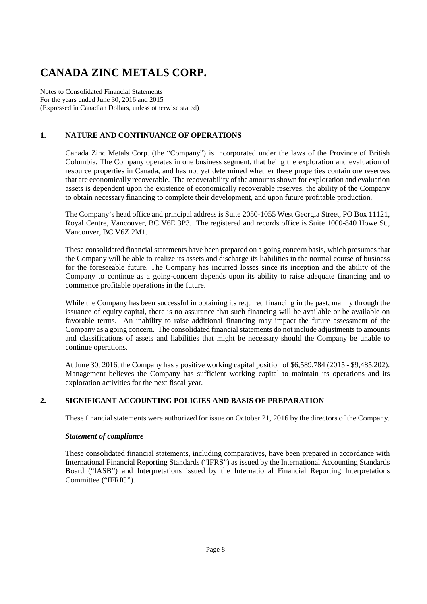Notes to Consolidated Financial Statements For the years ended June 30, 2016 and 2015 (Expressed in Canadian Dollars, unless otherwise stated)

### **1. NATURE AND CONTINUANCE OF OPERATIONS**

Canada Zinc Metals Corp. (the "Company") is incorporated under the laws of the Province of British Columbia. The Company operates in one business segment, that being the exploration and evaluation of resource properties in Canada, and has not yet determined whether these properties contain ore reserves that are economically recoverable. The recoverability of the amounts shown for exploration and evaluation assets is dependent upon the existence of economically recoverable reserves, the ability of the Company to obtain necessary financing to complete their development, and upon future profitable production.

The Company's head office and principal address is Suite 2050-1055 West Georgia Street, PO Box 11121, Royal Centre, Vancouver, BC V6E 3P3. The registered and records office is Suite 1000-840 Howe St., Vancouver, BC V6Z 2M1.

These consolidated financial statements have been prepared on a going concern basis, which presumes that the Company will be able to realize its assets and discharge its liabilities in the normal course of business for the foreseeable future. The Company has incurred losses since its inception and the ability of the Company to continue as a going-concern depends upon its ability to raise adequate financing and to commence profitable operations in the future.

While the Company has been successful in obtaining its required financing in the past, mainly through the issuance of equity capital, there is no assurance that such financing will be available or be available on favorable terms. An inability to raise additional financing may impact the future assessment of the Company as a going concern. The consolidated financial statements do not include adjustments to amounts and classifications of assets and liabilities that might be necessary should the Company be unable to continue operations.

At June 30, 2016, the Company has a positive working capital position of \$6,589,784 (2015 - \$9,485,202). Management believes the Company has sufficient working capital to maintain its operations and its exploration activities for the next fiscal year.

#### **2. SIGNIFICANT ACCOUNTING POLICIES AND BASIS OF PREPARATION**

These financial statements were authorized for issue on October 21, 2016 by the directors of the Company.

#### *Statement of compliance*

These consolidated financial statements, including comparatives, have been prepared in accordance with International Financial Reporting Standards ("IFRS") as issued by the International Accounting Standards Board ("IASB") and Interpretations issued by the International Financial Reporting Interpretations Committee ("IFRIC").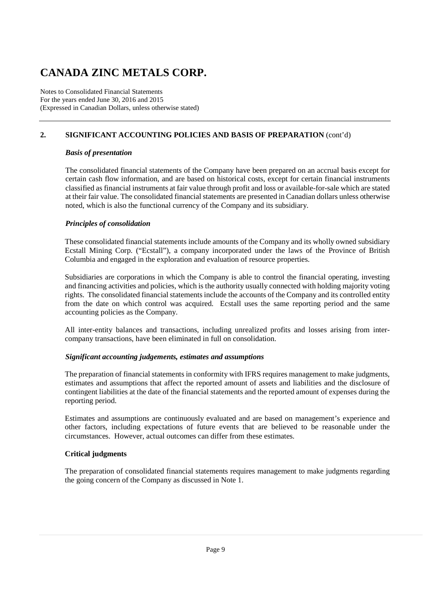Notes to Consolidated Financial Statements For the years ended June 30, 2016 and 2015 (Expressed in Canadian Dollars, unless otherwise stated)

### **2. SIGNIFICANT ACCOUNTING POLICIES AND BASIS OF PREPARATION** (cont'd)

#### *Basis of presentation*

The consolidated financial statements of the Company have been prepared on an accrual basis except for certain cash flow information, and are based on historical costs, except for certain financial instruments classified as financial instruments at fair value through profit and loss or available-for-sale which are stated at their fair value. The consolidated financial statements are presented in Canadian dollars unless otherwise noted, which is also the functional currency of the Company and its subsidiary.

#### *Principles of consolidation*

These consolidated financial statements include amounts of the Company and its wholly owned subsidiary Ecstall Mining Corp. ("Ecstall"), a company incorporated under the laws of the Province of British Columbia and engaged in the exploration and evaluation of resource properties.

Subsidiaries are corporations in which the Company is able to control the financial operating, investing and financing activities and policies, which is the authority usually connected with holding majority voting rights. The consolidated financial statements include the accounts of the Company and its controlled entity from the date on which control was acquired. Ecstall uses the same reporting period and the same accounting policies as the Company.

All inter-entity balances and transactions, including unrealized profits and losses arising from intercompany transactions, have been eliminated in full on consolidation.

#### *Significant accounting judgements, estimates and assumptions*

The preparation of financial statements in conformity with IFRS requires management to make judgments, estimates and assumptions that affect the reported amount of assets and liabilities and the disclosure of contingent liabilities at the date of the financial statements and the reported amount of expenses during the reporting period.

Estimates and assumptions are continuously evaluated and are based on management's experience and other factors, including expectations of future events that are believed to be reasonable under the circumstances. However, actual outcomes can differ from these estimates.

#### **Critical judgments**

The preparation of consolidated financial statements requires management to make judgments regarding the going concern of the Company as discussed in Note 1.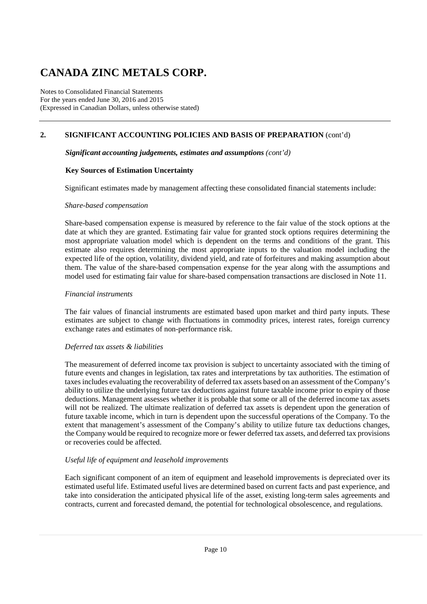Notes to Consolidated Financial Statements For the years ended June 30, 2016 and 2015 (Expressed in Canadian Dollars, unless otherwise stated)

### **2. SIGNIFICANT ACCOUNTING POLICIES AND BASIS OF PREPARATION** (cont'd)

#### *Significant accounting judgements, estimates and assumptions (cont'd)*

#### **Key Sources of Estimation Uncertainty**

Significant estimates made by management affecting these consolidated financial statements include:

#### *Share-based compensation*

Share-based compensation expense is measured by reference to the fair value of the stock options at the date at which they are granted. Estimating fair value for granted stock options requires determining the most appropriate valuation model which is dependent on the terms and conditions of the grant. This estimate also requires determining the most appropriate inputs to the valuation model including the expected life of the option, volatility, dividend yield, and rate of forfeitures and making assumption about them. The value of the share-based compensation expense for the year along with the assumptions and model used for estimating fair value for share-based compensation transactions are disclosed in Note 11.

#### *Financial instruments*

The fair values of financial instruments are estimated based upon market and third party inputs. These estimates are subject to change with fluctuations in commodity prices, interest rates, foreign currency exchange rates and estimates of non-performance risk.

#### *Deferred tax assets & liabilities*

The measurement of deferred income tax provision is subject to uncertainty associated with the timing of future events and changes in legislation, tax rates and interpretations by tax authorities. The estimation of taxes includes evaluating the recoverability of deferred tax assets based on an assessment of the Company's ability to utilize the underlying future tax deductions against future taxable income prior to expiry of those deductions. Management assesses whether it is probable that some or all of the deferred income tax assets will not be realized. The ultimate realization of deferred tax assets is dependent upon the generation of future taxable income, which in turn is dependent upon the successful operations of the Company. To the extent that management's assessment of the Company's ability to utilize future tax deductions changes, the Company would be required to recognize more or fewer deferred tax assets, and deferred tax provisions or recoveries could be affected.

#### *Useful life of equipment and leasehold improvements*

Each significant component of an item of equipment and leasehold improvements is depreciated over its estimated useful life. Estimated useful lives are determined based on current facts and past experience, and take into consideration the anticipated physical life of the asset, existing long-term sales agreements and contracts, current and forecasted demand, the potential for technological obsolescence, and regulations.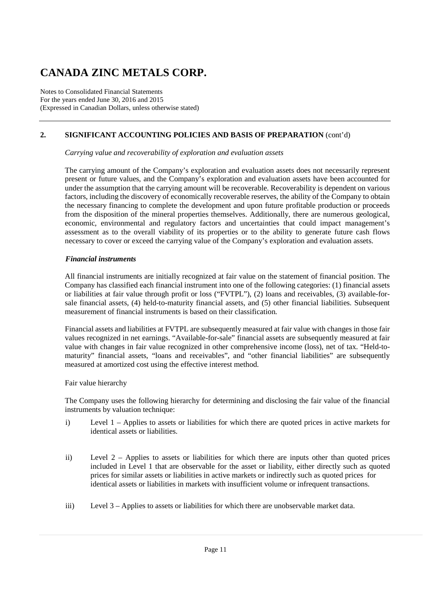Notes to Consolidated Financial Statements For the years ended June 30, 2016 and 2015 (Expressed in Canadian Dollars, unless otherwise stated)

### **2. SIGNIFICANT ACCOUNTING POLICIES AND BASIS OF PREPARATION** (cont'd)

*Carrying value and recoverability of exploration and evaluation assets* 

The carrying amount of the Company's exploration and evaluation assets does not necessarily represent present or future values, and the Company's exploration and evaluation assets have been accounted for under the assumption that the carrying amount will be recoverable. Recoverability is dependent on various factors, including the discovery of economically recoverable reserves, the ability of the Company to obtain the necessary financing to complete the development and upon future profitable production or proceeds from the disposition of the mineral properties themselves. Additionally, there are numerous geological, economic, environmental and regulatory factors and uncertainties that could impact management's assessment as to the overall viability of its properties or to the ability to generate future cash flows necessary to cover or exceed the carrying value of the Company's exploration and evaluation assets.

#### *Financial instruments*

All financial instruments are initially recognized at fair value on the statement of financial position. The Company has classified each financial instrument into one of the following categories: (1) financial assets or liabilities at fair value through profit or loss ("FVTPL"), (2) loans and receivables, (3) available-forsale financial assets, (4) held-to-maturity financial assets, and (5) other financial liabilities. Subsequent measurement of financial instruments is based on their classification.

Financial assets and liabilities at FVTPL are subsequently measured at fair value with changes in those fair values recognized in net earnings. "Available-for-sale" financial assets are subsequently measured at fair value with changes in fair value recognized in other comprehensive income (loss), net of tax. "Held-tomaturity" financial assets, "loans and receivables", and "other financial liabilities" are subsequently measured at amortized cost using the effective interest method.

Fair value hierarchy

The Company uses the following hierarchy for determining and disclosing the fair value of the financial instruments by valuation technique:

- i) Level 1 Applies to assets or liabilities for which there are quoted prices in active markets for identical assets or liabilities.
- ii) Level 2 Applies to assets or liabilities for which there are inputs other than quoted prices included in Level 1 that are observable for the asset or liability, either directly such as quoted prices for similar assets or liabilities in active markets or indirectly such as quoted prices for identical assets or liabilities in markets with insufficient volume or infrequent transactions.
- iii) Level 3 Applies to assets or liabilities for which there are unobservable market data.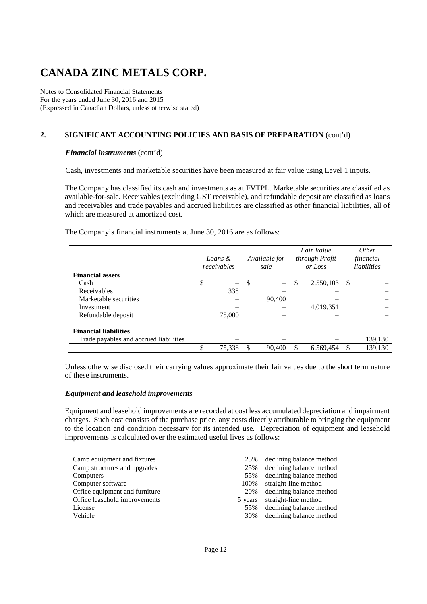Notes to Consolidated Financial Statements For the years ended June 30, 2016 and 2015 (Expressed in Canadian Dollars, unless otherwise stated)

### **2. SIGNIFICANT ACCOUNTING POLICIES AND BASIS OF PREPARATION** (cont'd)

#### *Financial instruments* (cont'd)

Cash, investments and marketable securities have been measured at fair value using Level 1 inputs.

The Company has classified its cash and investments as at FVTPL. Marketable securities are classified as available-for-sale. Receivables (excluding GST receivable), and refundable deposit are classified as loans and receivables and trade payables and accrued liabilities are classified as other financial liabilities, all of which are measured at amortized cost.

The Company's financial instruments at June 30, 2016 are as follows:

|                                        |                                |   |                          | Fair Value      |   | <i>Other</i> |
|----------------------------------------|--------------------------------|---|--------------------------|-----------------|---|--------------|
|                                        | Loans &                        |   | Available for            | through Profit  |   | financial    |
|                                        | receivables                    |   | sale                     | or Loss         |   | liabilities  |
| <b>Financial assets</b>                |                                |   |                          |                 |   |              |
| Cash                                   | \$<br>$\overline{\phantom{0}}$ | S | $\overline{\phantom{0}}$ | \$<br>2,550,103 | S |              |
| Receivables                            | 338                            |   |                          |                 |   |              |
| Marketable securities                  |                                |   | 90,400                   |                 |   |              |
| Investment                             |                                |   |                          | 4,019,351       |   |              |
| Refundable deposit                     | 75,000                         |   |                          |                 |   |              |
| <b>Financial liabilities</b>           |                                |   |                          |                 |   |              |
| Trade payables and accrued liabilities |                                |   |                          |                 |   | 139,130      |
|                                        | \$<br>75,338                   | S | 90,400                   | 6,569,454       |   | 139,130      |

Unless otherwise disclosed their carrying values approximate their fair values due to the short term nature of these instruments.

#### *Equipment and leasehold improvements*

Equipment and leasehold improvements are recorded at cost less accumulated depreciation and impairment charges. Such cost consists of the purchase price, any costs directly attributable to bringing the equipment to the location and condition necessary for its intended use. Depreciation of equipment and leasehold improvements is calculated over the estimated useful lives as follows:

| Camp equipment and fixtures    | 25%     | declining balance method |
|--------------------------------|---------|--------------------------|
| Camp structures and upgrades   | 25%     | declining balance method |
| Computers                      | 55%     | declining balance method |
| Computer software              | 100%    | straight-line method     |
| Office equipment and furniture | 20%     | declining balance method |
| Office leasehold improvements  | 5 years | straight-line method     |
| License                        | 55%     | declining balance method |
| Vehicle                        | 30%     | declining balance method |
|                                |         |                          |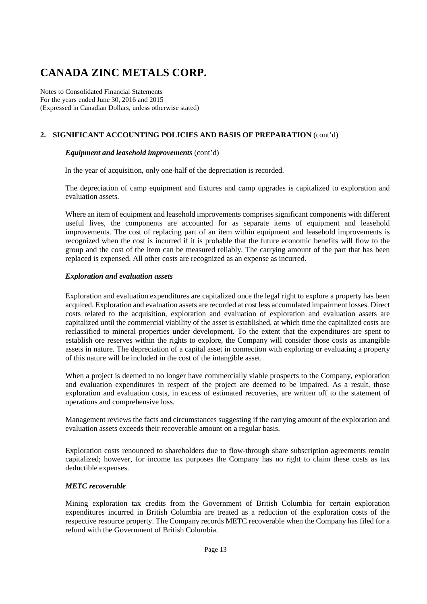Notes to Consolidated Financial Statements For the years ended June 30, 2016 and 2015 (Expressed in Canadian Dollars, unless otherwise stated)

### **2. SIGNIFICANT ACCOUNTING POLICIES AND BASIS OF PREPARATION** (cont'd)

#### *Equipment and leasehold improvements* (cont'd)

In the year of acquisition, only one-half of the depreciation is recorded.

The depreciation of camp equipment and fixtures and camp upgrades is capitalized to exploration and evaluation assets.

Where an item of equipment and leasehold improvements comprises significant components with different useful lives, the components are accounted for as separate items of equipment and leasehold improvements. The cost of replacing part of an item within equipment and leasehold improvements is recognized when the cost is incurred if it is probable that the future economic benefits will flow to the group and the cost of the item can be measured reliably. The carrying amount of the part that has been replaced is expensed. All other costs are recognized as an expense as incurred.

#### *Exploration and evaluation assets*

Exploration and evaluation expenditures are capitalized once the legal right to explore a property has been acquired. Exploration and evaluation assets are recorded at cost less accumulated impairment losses. Direct costs related to the acquisition, exploration and evaluation of exploration and evaluation assets are capitalized until the commercial viability of the asset is established, at which time the capitalized costs are reclassified to mineral properties under development. To the extent that the expenditures are spent to establish ore reserves within the rights to explore, the Company will consider those costs as intangible assets in nature. The depreciation of a capital asset in connection with exploring or evaluating a property of this nature will be included in the cost of the intangible asset.

When a project is deemed to no longer have commercially viable prospects to the Company, exploration and evaluation expenditures in respect of the project are deemed to be impaired. As a result, those exploration and evaluation costs, in excess of estimated recoveries, are written off to the statement of operations and comprehensive loss.

Management reviews the facts and circumstances suggesting if the carrying amount of the exploration and evaluation assets exceeds their recoverable amount on a regular basis.

Exploration costs renounced to shareholders due to flow-through share subscription agreements remain capitalized; however, for income tax purposes the Company has no right to claim these costs as tax deductible expenses.

#### *METC recoverable*

Mining exploration tax credits from the Government of British Columbia for certain exploration expenditures incurred in British Columbia are treated as a reduction of the exploration costs of the respective resource property. The Company records METC recoverable when the Company has filed for a refund with the Government of British Columbia.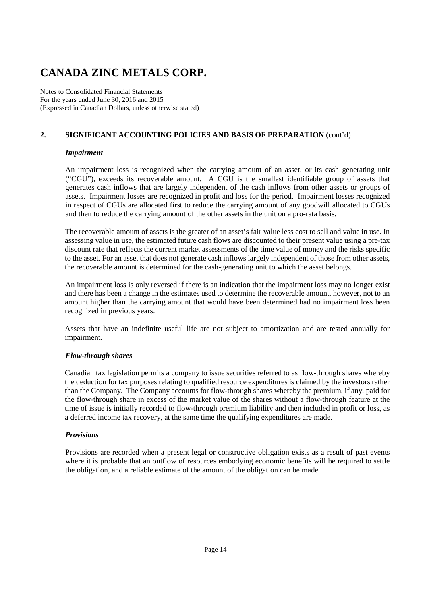Notes to Consolidated Financial Statements For the years ended June 30, 2016 and 2015 (Expressed in Canadian Dollars, unless otherwise stated)

### **2. SIGNIFICANT ACCOUNTING POLICIES AND BASIS OF PREPARATION** (cont'd)

#### *Impairment*

An impairment loss is recognized when the carrying amount of an asset, or its cash generating unit ("CGU"), exceeds its recoverable amount. A CGU is the smallest identifiable group of assets that generates cash inflows that are largely independent of the cash inflows from other assets or groups of assets. Impairment losses are recognized in profit and loss for the period. Impairment losses recognized in respect of CGUs are allocated first to reduce the carrying amount of any goodwill allocated to CGUs and then to reduce the carrying amount of the other assets in the unit on a pro-rata basis.

The recoverable amount of assets is the greater of an asset's fair value less cost to sell and value in use. In assessing value in use, the estimated future cash flows are discounted to their present value using a pre-tax discount rate that reflects the current market assessments of the time value of money and the risks specific to the asset. For an asset that does not generate cash inflows largely independent of those from other assets, the recoverable amount is determined for the cash-generating unit to which the asset belongs.

 An impairment loss is only reversed if there is an indication that the impairment loss may no longer exist and there has been a change in the estimates used to determine the recoverable amount, however, not to an amount higher than the carrying amount that would have been determined had no impairment loss been recognized in previous years.

Assets that have an indefinite useful life are not subject to amortization and are tested annually for impairment.

#### *Flow-through shares*

Canadian tax legislation permits a company to issue securities referred to as flow-through shares whereby the deduction for tax purposes relating to qualified resource expenditures is claimed by the investors rather than the Company. The Company accounts for flow-through shares whereby the premium, if any, paid for the flow-through share in excess of the market value of the shares without a flow-through feature at the time of issue is initially recorded to flow-through premium liability and then included in profit or loss, as a deferred income tax recovery, at the same time the qualifying expenditures are made.

#### *Provisions*

Provisions are recorded when a present legal or constructive obligation exists as a result of past events where it is probable that an outflow of resources embodying economic benefits will be required to settle the obligation, and a reliable estimate of the amount of the obligation can be made.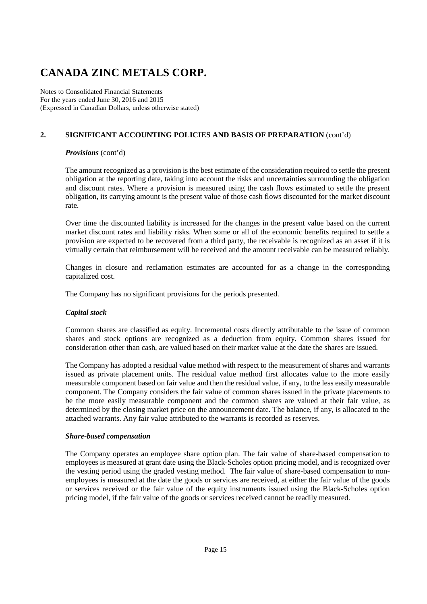Notes to Consolidated Financial Statements For the years ended June 30, 2016 and 2015 (Expressed in Canadian Dollars, unless otherwise stated)

### **2. SIGNIFICANT ACCOUNTING POLICIES AND BASIS OF PREPARATION** (cont'd)

### *Provisions* (cont'd)

The amount recognized as a provision is the best estimate of the consideration required to settle the present obligation at the reporting date, taking into account the risks and uncertainties surrounding the obligation and discount rates. Where a provision is measured using the cash flows estimated to settle the present obligation, its carrying amount is the present value of those cash flows discounted for the market discount rate.

Over time the discounted liability is increased for the changes in the present value based on the current market discount rates and liability risks. When some or all of the economic benefits required to settle a provision are expected to be recovered from a third party, the receivable is recognized as an asset if it is virtually certain that reimbursement will be received and the amount receivable can be measured reliably.

Changes in closure and reclamation estimates are accounted for as a change in the corresponding capitalized cost.

The Company has no significant provisions for the periods presented.

### *Capital stock*

Common shares are classified as equity. Incremental costs directly attributable to the issue of common shares and stock options are recognized as a deduction from equity. Common shares issued for consideration other than cash, are valued based on their market value at the date the shares are issued.

The Company has adopted a residual value method with respect to the measurement of shares and warrants issued as private placement units. The residual value method first allocates value to the more easily measurable component based on fair value and then the residual value, if any, to the less easily measurable component. The Company considers the fair value of common shares issued in the private placements to be the more easily measurable component and the common shares are valued at their fair value, as determined by the closing market price on the announcement date. The balance, if any, is allocated to the attached warrants. Any fair value attributed to the warrants is recorded as reserves.

#### *Share-based compensation*

The Company operates an employee share option plan. The fair value of share-based compensation to employees is measured at grant date using the Black-Scholes option pricing model, and is recognized over the vesting period using the graded vesting method. The fair value of share-based compensation to nonemployees is measured at the date the goods or services are received, at either the fair value of the goods or services received or the fair value of the equity instruments issued using the Black-Scholes option pricing model, if the fair value of the goods or services received cannot be readily measured.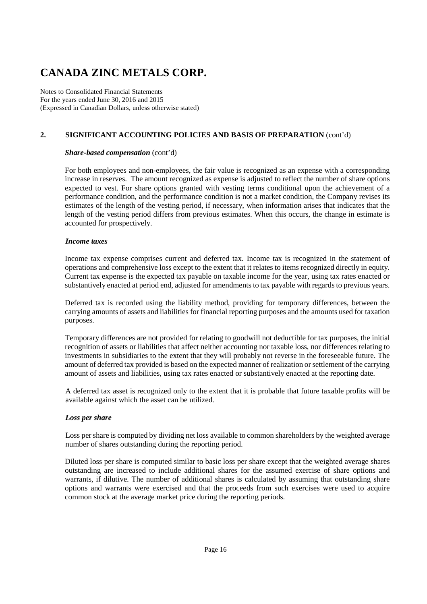Notes to Consolidated Financial Statements For the years ended June 30, 2016 and 2015 (Expressed in Canadian Dollars, unless otherwise stated)

### **2. SIGNIFICANT ACCOUNTING POLICIES AND BASIS OF PREPARATION** (cont'd)

#### *Share-based compensation* (cont'd)

For both employees and non-employees, the fair value is recognized as an expense with a corresponding increase in reserves. The amount recognized as expense is adjusted to reflect the number of share options expected to vest. For share options granted with vesting terms conditional upon the achievement of a performance condition, and the performance condition is not a market condition, the Company revises its estimates of the length of the vesting period, if necessary, when information arises that indicates that the length of the vesting period differs from previous estimates. When this occurs, the change in estimate is accounted for prospectively.

#### *Income taxes*

Income tax expense comprises current and deferred tax. Income tax is recognized in the statement of operations and comprehensive loss except to the extent that it relates to items recognized directly in equity. Current tax expense is the expected tax payable on taxable income for the year, using tax rates enacted or substantively enacted at period end, adjusted for amendments to tax payable with regards to previous years.

Deferred tax is recorded using the liability method, providing for temporary differences, between the carrying amounts of assets and liabilities for financial reporting purposes and the amounts used for taxation purposes.

Temporary differences are not provided for relating to goodwill not deductible for tax purposes, the initial recognition of assets or liabilities that affect neither accounting nor taxable loss, nor differences relating to investments in subsidiaries to the extent that they will probably not reverse in the foreseeable future. The amount of deferred tax provided is based on the expected manner of realization or settlement of the carrying amount of assets and liabilities, using tax rates enacted or substantively enacted at the reporting date.

A deferred tax asset is recognized only to the extent that it is probable that future taxable profits will be available against which the asset can be utilized.

#### *Loss per share*

Loss per share is computed by dividing net loss available to common shareholders by the weighted average number of shares outstanding during the reporting period.

Diluted loss per share is computed similar to basic loss per share except that the weighted average shares outstanding are increased to include additional shares for the assumed exercise of share options and warrants, if dilutive. The number of additional shares is calculated by assuming that outstanding share options and warrants were exercised and that the proceeds from such exercises were used to acquire common stock at the average market price during the reporting periods.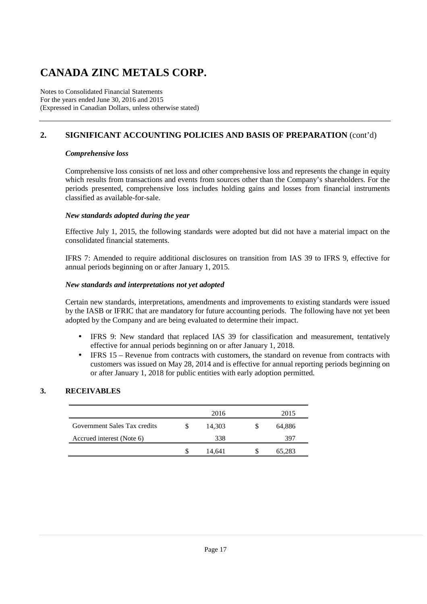Notes to Consolidated Financial Statements For the years ended June 30, 2016 and 2015 (Expressed in Canadian Dollars, unless otherwise stated)

### **2. SIGNIFICANT ACCOUNTING POLICIES AND BASIS OF PREPARATION** (cont'd)

#### *Comprehensive loss*

Comprehensive loss consists of net loss and other comprehensive loss and represents the change in equity which results from transactions and events from sources other than the Company's shareholders. For the periods presented, comprehensive loss includes holding gains and losses from financial instruments classified as available-for-sale.

#### *New standards adopted during the year*

Effective July 1, 2015, the following standards were adopted but did not have a material impact on the consolidated financial statements.

IFRS 7: Amended to require additional disclosures on transition from IAS 39 to IFRS 9, effective for annual periods beginning on or after January 1, 2015.

#### *New standards and interpretations not yet adopted*

Certain new standards, interpretations, amendments and improvements to existing standards were issued by the IASB or IFRIC that are mandatory for future accounting periods. The following have not yet been adopted by the Company and are being evaluated to determine their impact.

- IFRS 9: New standard that replaced IAS 39 for classification and measurement, tentatively effective for annual periods beginning on or after January 1, 2018.
- IFRS 15 Revenue from contracts with customers, the standard on revenue from contracts with customers was issued on May 28, 2014 and is effective for annual reporting periods beginning on or after January 1, 2018 for public entities with early adoption permitted.

#### **3. RECEIVABLES**

|                              | 2016   | 2015   |
|------------------------------|--------|--------|
| Government Sales Tax credits | 14,303 | 64,886 |
| Accrued interest (Note 6)    | 338    | 397    |
|                              | 14.641 | 65,283 |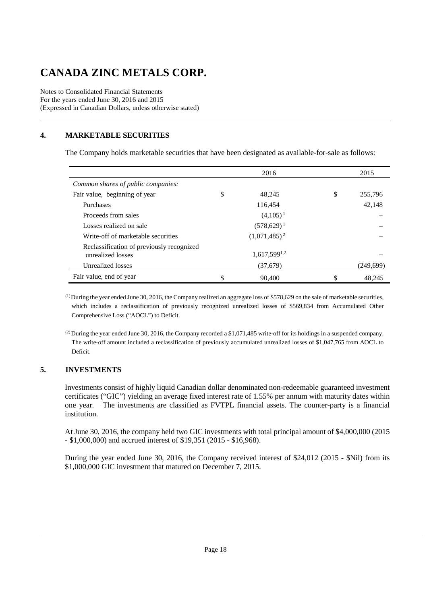Notes to Consolidated Financial Statements For the years ended June 30, 2016 and 2015 (Expressed in Canadian Dollars, unless otherwise stated)

### **4. MARKETABLE SECURITIES**

The Company holds marketable securities that have been designated as available-for-sale as follows:

|                                                                | 2016              | 2015          |
|----------------------------------------------------------------|-------------------|---------------|
| Common shares of public companies:                             |                   |               |
| Fair value, beginning of year                                  | \$<br>48.245      | \$<br>255,796 |
| Purchases                                                      | 116,454           | 42.148        |
| Proceeds from sales                                            | $(4,105)^{1}$     |               |
| Losses realized on sale                                        | $(578,629)^1$     |               |
| Write-off of marketable securities                             | $(1,071,485)^2$   |               |
| Reclassification of previously recognized<br>unrealized losses | $1,617,599^{1,2}$ |               |
| Unrealized losses                                              | (37,679)          | (249, 699)    |
| Fair value, end of year                                        | 90,400            | \$<br>48.245  |

 $<sup>(1)</sup>$  During the year ended June 30, 2016, the Company realized an aggregate loss of \$578,629 on the sale of marketable securities,</sup> which includes a reclassification of previously recognized unrealized losses of \$569,834 from Accumulated Other Comprehensive Loss ("AOCL") to Deficit.

(2) During the year ended June 30, 2016, the Company recorded a \$1,071,485 write-off for its holdings in a suspended company. The write-off amount included a reclassification of previously accumulated unrealized losses of \$1,047,765 from AOCL to Deficit.

#### **5. INVESTMENTS**

Investments consist of highly liquid Canadian dollar denominated non-redeemable guaranteed investment certificates ("GIC") yielding an average fixed interest rate of 1.55% per annum with maturity dates within one year. The investments are classified as FVTPL financial assets. The counter-party is a financial institution.

At June 30, 2016, the company held two GIC investments with total principal amount of \$4,000,000 (2015 - \$1,000,000) and accrued interest of \$19,351 (2015 - \$16,968).

During the year ended June 30, 2016, the Company received interest of \$24,012 (2015 - \$Nil) from its \$1,000,000 GIC investment that matured on December 7, 2015.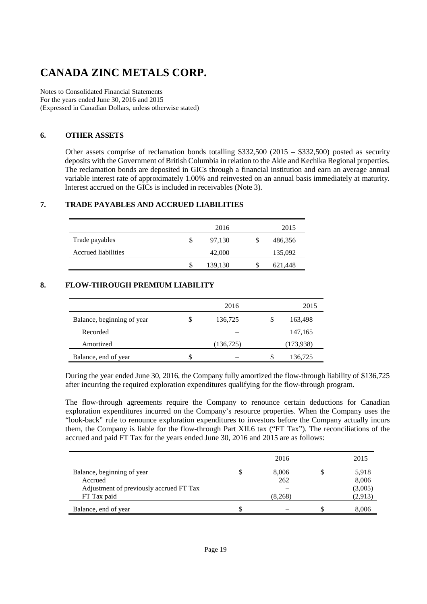Notes to Consolidated Financial Statements For the years ended June 30, 2016 and 2015 (Expressed in Canadian Dollars, unless otherwise stated)

#### **6. OTHER ASSETS**

Other assets comprise of reclamation bonds totalling \$332,500 (2015 – \$332,500) posted as security deposits with the Government of British Columbia in relation to the Akie and Kechika Regional properties. The reclamation bonds are deposited in GICs through a financial institution and earn an average annual variable interest rate of approximately 1.00% and reinvested on an annual basis immediately at maturity. Interest accrued on the GICs is included in receivables (Note 3).

### **7. TRADE PAYABLES AND ACCRUED LIABILITIES**

|                            |    | 2016    | 2015    |
|----------------------------|----|---------|---------|
| Trade payables             | \$ | 97,130  | 486,356 |
| <b>Accrued liabilities</b> |    | 42,000  | 135,092 |
|                            | S  | 139,130 | 621,448 |

#### **8. FLOW-THROUGH PREMIUM LIABILITY**

|                            |   | 2016       | 2015      |
|----------------------------|---|------------|-----------|
| Balance, beginning of year | S | 136,725    | 163,498   |
| Recorded                   |   |            | 147,165   |
| Amortized                  |   | (136, 725) | (173,938) |
| Balance, end of year       | S |            | 136,725   |

During the year ended June 30, 2016, the Company fully amortized the flow-through liability of \$136,725 after incurring the required exploration expenditures qualifying for the flow-through program.

The flow-through agreements require the Company to renounce certain deductions for Canadian exploration expenditures incurred on the Company's resource properties. When the Company uses the "look-back" rule to renounce exploration expenditures to investors before the Company actually incurs them, the Company is liable for the flow-through Part XII.6 tax ("FT Tax"). The reconciliations of the accrued and paid FT Tax for the years ended June 30, 2016 and 2015 are as follows:

|                                         | 2016    | 2015    |
|-----------------------------------------|---------|---------|
| Balance, beginning of year              | 8,006   | 5,918   |
| Accrued                                 | 262     | 8,006   |
| Adjustment of previously accrued FT Tax |         | (3,005) |
| FT Tax paid                             | (8,268) | (2,913) |
| Balance, end of year                    |         | 8,006   |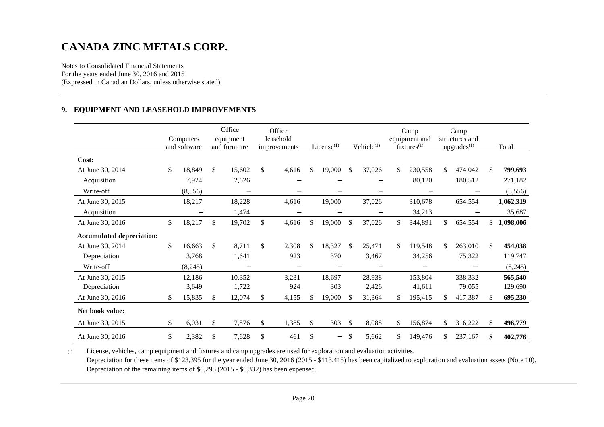Notes to Consolidated Financial Statements For the years ended June 30, 2016 and 2015 (Expressed in Canadian Dollars, unless otherwise stated)

#### **9. EQUIPMENT AND LEASEHOLD IMPROVEMENTS**

|                                  | Computers<br>and software |    | Office<br>equipment<br>and furniture |    | Office<br>leasehold<br>improvements |               | $License$ <sup>(1)</sup> |               | Vehicle <sup>(1)</sup> |     | Camp<br>equipment and<br>$fixtures^{(1)}$ |     | Camp<br>structures and<br>upgrades <sup>(1)</sup> | Total           |
|----------------------------------|---------------------------|----|--------------------------------------|----|-------------------------------------|---------------|--------------------------|---------------|------------------------|-----|-------------------------------------------|-----|---------------------------------------------------|-----------------|
| Cost:                            |                           |    |                                      |    |                                     |               |                          |               |                        |     |                                           |     |                                                   |                 |
| At June 30, 2014                 | \$<br>18,849              | \$ | 15,602                               | \$ | 4,616                               | \$            | 19,000                   | \$            | 37,026                 | \$  | 230,558                                   | S.  | 474,042                                           | \$<br>799,693   |
| Acquisition                      | 7,924                     |    | 2,626                                |    |                                     |               |                          |               |                        |     | 80,120                                    |     | 180,512                                           | 271,182         |
| Write-off                        | (8,556)                   |    | $\overline{\phantom{0}}$             |    |                                     |               |                          |               | $\qquad \qquad$        |     |                                           |     |                                                   | (8, 556)        |
| At June 30, 2015                 | 18,217                    |    | 18,228                               |    | 4,616                               |               | 19,000                   |               | 37,026                 |     | 310,678                                   |     | 654,554                                           | 1,062,319       |
| Acquisition                      | $\overline{\phantom{m}}$  |    | 1,474                                |    | $\overline{\phantom{0}}$            |               | $\overline{\phantom{m}}$ |               | $\qquad \qquad$        |     | 34,213                                    |     |                                                   | 35,687          |
| At June 30, 2016                 | \$<br>18,217              | \$ | 19,702                               | \$ | 4,616                               | \$            | 19,000                   | \$            | 37,026                 | \$  | 344,891                                   | \$  | 654,554                                           | \$<br>1,098,006 |
| <b>Accumulated depreciation:</b> |                           |    |                                      |    |                                     |               |                          |               |                        |     |                                           |     |                                                   |                 |
| At June 30, 2014                 | \$<br>16,663              | \$ | 8,711                                | \$ | 2,308                               | \$            | 18,327                   | <sup>\$</sup> | 25,471                 | \$  | 119,548                                   | \$  | 263,010                                           | \$<br>454,038   |
| Depreciation                     | 3,768                     |    | 1,641                                |    | 923                                 |               | 370                      |               | 3,467                  |     | 34,256                                    |     | 75,322                                            | 119,747         |
| Write-off                        | (8,245)                   |    |                                      |    |                                     |               |                          |               |                        |     |                                           |     |                                                   | (8,245)         |
| At June 30, 2015                 | 12,186                    |    | 10,352                               |    | 3,231                               |               | 18.697                   |               | 28,938                 |     | 153,804                                   |     | 338,332                                           | 565,540         |
| Depreciation                     | 3,649                     |    | 1,722                                |    | 924                                 |               | 303                      |               | 2,426                  |     | 41,611                                    |     | 79,055                                            | 129,690         |
| At June 30, 2016                 | \$<br>15,835              | \$ | 12,074                               | \$ | 4,155                               | \$            | 19,000                   | <sup>\$</sup> | 31,364                 | \$  | 195,415                                   |     | 417,387                                           | \$<br>695,230   |
| Net book value:                  |                           |    |                                      |    |                                     |               |                          |               |                        |     |                                           |     |                                                   |                 |
| At June 30, 2015                 | \$<br>6,031               | S. | 7,876                                | S  | 1,385                               | <sup>\$</sup> | 303                      | <sup>\$</sup> | 8,088                  | S.  | 156,874                                   | \$. | 316,222                                           | \$<br>496,779   |
| At June 30, 2016                 | \$<br>2,382               | \$ | 7,628                                | \$ | 461                                 | \$            | $\qquad \qquad -$        | -S            | 5,662                  | \$. | 149,476                                   |     | 237,167                                           | \$<br>402,776   |

(1) License, vehicles, camp equipment and fixtures and camp upgrades are used for exploration and evaluation activities. Depreciation for these items of \$123,395 for the year ended June 30, 2016 (2015 - \$113,415) has been capitalized to exploration and evaluation assets (Note 10). Depreciation of the remaining items of \$6,295 (2015 - \$6,332) has been expensed.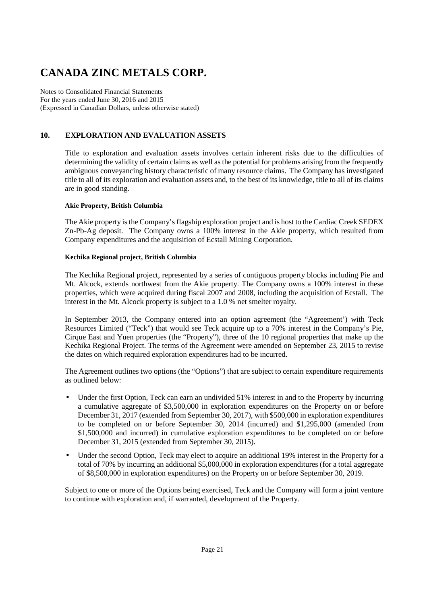Notes to Consolidated Financial Statements For the years ended June 30, 2016 and 2015 (Expressed in Canadian Dollars, unless otherwise stated)

### **10. EXPLORATION AND EVALUATION ASSETS**

Title to exploration and evaluation assets involves certain inherent risks due to the difficulties of determining the validity of certain claims as well as the potential for problems arising from the frequently ambiguous conveyancing history characteristic of many resource claims. The Company has investigated title to all of its exploration and evaluation assets and, to the best of its knowledge, title to all of its claims are in good standing.

#### **Akie Property, British Columbia**

The Akie property is the Company's flagship exploration project and is host to the Cardiac Creek SEDEX Zn-Pb-Ag deposit. The Company owns a 100% interest in the Akie property, which resulted from Company expenditures and the acquisition of Ecstall Mining Corporation.

#### **Kechika Regional project, British Columbia**

The Kechika Regional project, represented by a series of contiguous property blocks including Pie and Mt. Alcock, extends northwest from the Akie property. The Company owns a 100% interest in these properties, which were acquired during fiscal 2007 and 2008, including the acquisition of Ecstall. The interest in the Mt. Alcock property is subject to a 1.0 % net smelter royalty.

In September 2013, the Company entered into an option agreement (the "Agreement') with Teck Resources Limited ("Teck") that would see Teck acquire up to a 70% interest in the Company's Pie, Cirque East and Yuen properties (the "Property"), three of the 10 regional properties that make up the Kechika Regional Project. The terms of the Agreement were amended on September 23, 2015 to revise the dates on which required exploration expenditures had to be incurred.

The Agreement outlines two options (the "Options") that are subject to certain expenditure requirements as outlined below:

- Under the first Option, Teck can earn an undivided 51% interest in and to the Property by incurring a cumulative aggregate of \$3,500,000 in exploration expenditures on the Property on or before December 31, 2017 (extended from September 30, 2017), with \$500,000 in exploration expenditures to be completed on or before September 30, 2014 (incurred) and \$1,295,000 (amended from \$1,500,000 and incurred) in cumulative exploration expenditures to be completed on or before December 31, 2015 (extended from September 30, 2015).
- Under the second Option, Teck may elect to acquire an additional 19% interest in the Property for a total of 70% by incurring an additional \$5,000,000 in exploration expenditures (for a total aggregate of \$8,500,000 in exploration expenditures) on the Property on or before September 30, 2019.

Subject to one or more of the Options being exercised, Teck and the Company will form a joint venture to continue with exploration and, if warranted, development of the Property.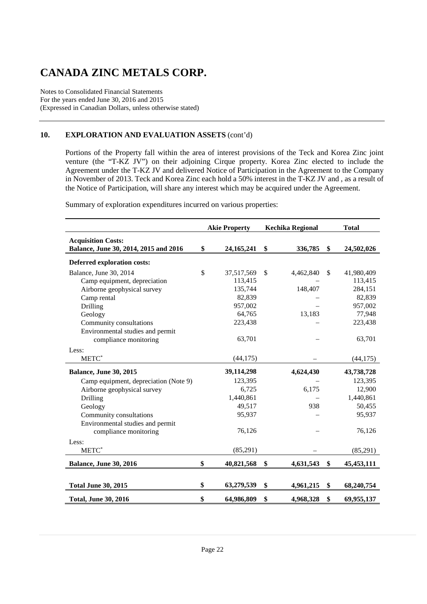Notes to Consolidated Financial Statements For the years ended June 30, 2016 and 2015 (Expressed in Canadian Dollars, unless otherwise stated)

### **10. EXPLORATION AND EVALUATION ASSETS** (cont'd)

Portions of the Property fall within the area of interest provisions of the Teck and Korea Zinc joint venture (the "T-KZ JV") on their adjoining Cirque property. Korea Zinc elected to include the Agreement under the T-KZ JV and delivered Notice of Participation in the Agreement to the Company in November of 2013. Teck and Korea Zinc each hold a 50% interest in the T-KZ JV and , as a result of the Notice of Participation, will share any interest which may be acquired under the Agreement.

Summary of exploration expenditures incurred on various properties:

|                                                                    | <b>Akie Property</b> |              | <b>Kechika Regional</b> | <b>Total</b>     |
|--------------------------------------------------------------------|----------------------|--------------|-------------------------|------------------|
| <b>Acquisition Costs:</b><br>Balance, June 30, 2014, 2015 and 2016 | \$<br>24, 165, 241   | \$           | 336,785                 | \$<br>24,502,026 |
| Deferred exploration costs:                                        |                      |              |                         |                  |
| Balance, June 30, 2014                                             | \$<br>37,517,569     | $\mathbb{S}$ | 4,462,840               | \$<br>41,980,409 |
| Camp equipment, depreciation                                       | 113,415              |              |                         | 113,415          |
| Airborne geophysical survey                                        | 135,744              |              | 148,407                 | 284,151          |
| Camp rental                                                        | 82,839               |              |                         | 82,839           |
| Drilling                                                           | 957,002              |              |                         | 957,002          |
| Geology                                                            | 64,765               |              | 13,183                  | 77,948           |
| Community consultations                                            | 223,438              |              |                         | 223,438          |
| Environmental studies and permit                                   |                      |              |                         |                  |
| compliance monitoring                                              | 63,701               |              |                         | 63,701           |
| Less:                                                              |                      |              |                         |                  |
| METC*                                                              | (44, 175)            |              |                         | (44, 175)        |
| <b>Balance, June 30, 2015</b>                                      | 39,114,298           |              | 4,624,430               | 43,738,728       |
| Camp equipment, depreciation (Note 9)                              | 123,395              |              |                         | 123,395          |
| Airborne geophysical survey                                        | 6,725                |              | 6,175                   | 12,900           |
| Drilling                                                           | 1,440,861            |              |                         | 1,440,861        |
| Geology                                                            | 49,517               |              | 938                     | 50,455           |
| Community consultations                                            | 95,937               |              |                         | 95,937           |
| Environmental studies and permit                                   |                      |              |                         |                  |
| compliance monitoring                                              | 76,126               |              |                         | 76,126           |
| Less:                                                              |                      |              |                         |                  |
| METC*                                                              | (85,291)             |              |                         | (85,291)         |
| <b>Balance, June 30, 2016</b>                                      | \$<br>40,821,568     | \$           | 4,631,543               | \$<br>45,453,111 |
|                                                                    |                      |              |                         |                  |
| <b>Total June 30, 2015</b>                                         | \$<br>63,279,539     | \$           | 4,961,215               | \$<br>68,240,754 |
| <b>Total, June 30, 2016</b>                                        | \$<br>64,986,809     | \$           | 4,968,328               | \$<br>69,955,137 |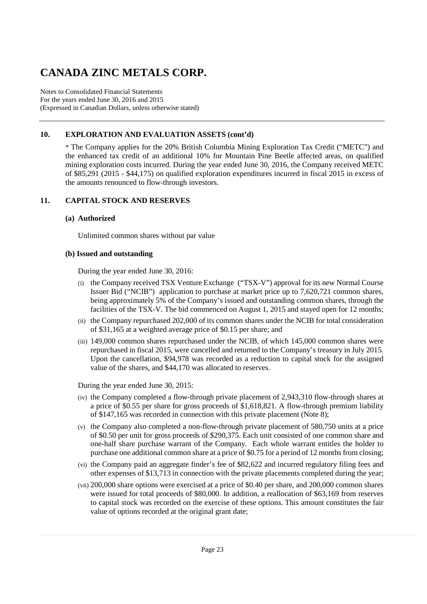Notes to Consolidated Financial Statements For the years ended June 30, 2016 and 2015 (Expressed in Canadian Dollars, unless otherwise stated)

### **10. EXPLORATION AND EVALUATION ASSETS (cont'd)**

\* The Company applies for the 20% British Columbia Mining Exploration Tax Credit ("METC") and the enhanced tax credit of an additional 10% for Mountain Pine Beetle affected areas, on qualified mining exploration costs incurred. During the year ended June 30, 2016, the Company received METC of \$85,291 (2015 - \$44,175) on qualified exploration expenditures incurred in fiscal 2015 in excess of the amounts renounced to flow-through investors.

#### **11. CAPITAL STOCK AND RESERVES**

#### **(a) Authorized**

Unlimited common shares without par value

#### **(b) Issued and outstanding**

During the year ended June 30, 2016:

- (i) the Company received TSX Venture Exchange ("TSX-V") approval for its new Normal Course Issuer Bid ("NCIB") application to purchase at market price up to 7,620,721 common shares, being approximately 5% of the Company's issued and outstanding common shares, through the facilities of the TSX-V. The bid commenced on August 1, 2015 and stayed open for 12 months;
- (ii) the Company repurchased 202,000 of its common shares under the NCIB for total consideration of \$31,165 at a weighted average price of \$0.15 per share; and
- (iii) 149,000 common shares repurchased under the NCIB, of which 145,000 common shares were repurchased in fiscal 2015, were cancelled and returned to the Company's treasury in July 2015. Upon the cancellation, \$94,978 was recorded as a reduction to capital stock for the assigned value of the shares, and \$44,170 was allocated to reserves.

During the year ended June 30, 2015:

- (iv) the Company completed a flow-through private placement of 2,943,310 flow-through shares at a price of \$0.55 per share for gross proceeds of \$1,618,821. A flow-through premium liability of \$147,165 was recorded in connection with this private placement (Note 8);
- (v) the Company also completed a non-flow-through private placement of 580,750 units at a price of \$0.50 per unit for gross proceeds of \$290,375. Each unit consisted of one common share and one-half share purchase warrant of the Company. Each whole warrant entitles the holder to purchase one additional common share at a price of \$0.75 for a period of 12 months from closing;
- (vi) the Company paid an aggregate finder's fee of \$82,622 and incurred regulatory filing fees and other expenses of \$13,713 in connection with the private placements completed during the year;
- (vii) 200,000 share options were exercised at a price of \$0.40 per share, and 200,000 common shares were issued for total proceeds of \$80,000. In addition, a reallocation of \$63,169 from reserves to capital stock was recorded on the exercise of these options. This amount constitutes the fair value of options recorded at the original grant date;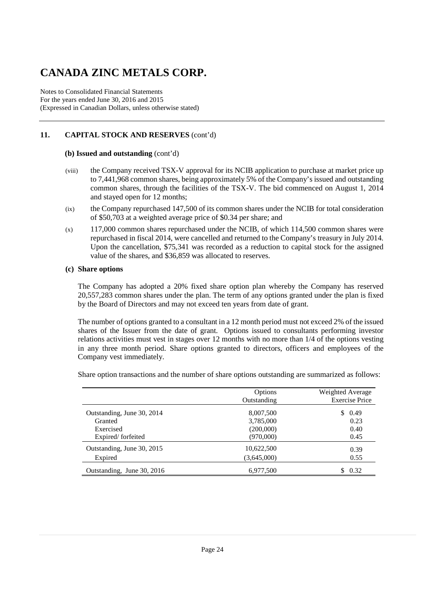Notes to Consolidated Financial Statements For the years ended June 30, 2016 and 2015 (Expressed in Canadian Dollars, unless otherwise stated)

### **11. CAPITAL STOCK AND RESERVES** (cont'd)

#### **(b) Issued and outstanding** (cont'd)

- (viii) the Company received TSX-V approval for its NCIB application to purchase at market price up to 7,441,968 common shares, being approximately 5% of the Company's issued and outstanding common shares, through the facilities of the TSX-V. The bid commenced on August 1, 2014 and stayed open for 12 months;
- (ix) the Company repurchased 147,500 of its common shares under the NCIB for total consideration of \$50,703 at a weighted average price of \$0.34 per share; and
- (x) 117,000 common shares repurchased under the NCIB, of which 114,500 common shares were repurchased in fiscal 2014, were cancelled and returned to the Company's treasury in July 2014. Upon the cancellation, \$75,341 was recorded as a reduction to capital stock for the assigned value of the shares, and \$36,859 was allocated to reserves.

#### **(c) Share options**

The Company has adopted a 20% fixed share option plan whereby the Company has reserved 20,557,283 common shares under the plan. The term of any options granted under the plan is fixed by the Board of Directors and may not exceed ten years from date of grant.

 The number of options granted to a consultant in a 12 month period must not exceed 2% of the issued shares of the Issuer from the date of grant. Options issued to consultants performing investor relations activities must vest in stages over 12 months with no more than 1/4 of the options vesting in any three month period. Share options granted to directors, officers and employees of the Company vest immediately.

Share option transactions and the number of share options outstanding are summarized as follows:

|                                                                         | Options<br>Outstanding                           | Weighted Average<br><b>Exercise Price</b> |
|-------------------------------------------------------------------------|--------------------------------------------------|-------------------------------------------|
| Outstanding, June 30, 2014<br>Granted<br>Exercised<br>Expired/forfeited | 8,007,500<br>3,785,000<br>(200,000)<br>(970,000) | \$.<br>0.49<br>0.23<br>0.40<br>0.45       |
| Outstanding, June 30, 2015<br>Expired                                   | 10,622,500<br>(3,645,000)                        | 0.39<br>0.55                              |
| Outstanding, June 30, 2016                                              | 6,977,500                                        | 0.32<br>\$.                               |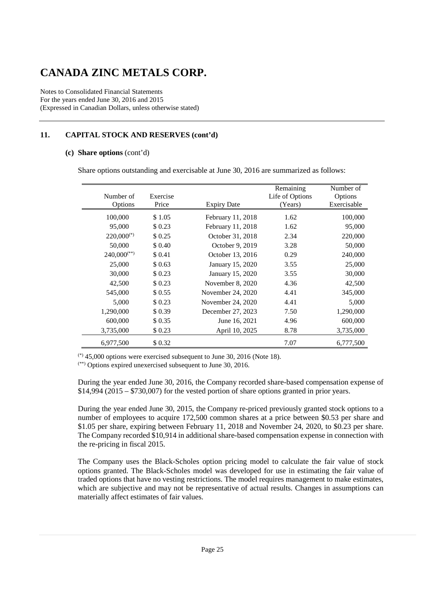Notes to Consolidated Financial Statements For the years ended June 30, 2016 and 2015 (Expressed in Canadian Dollars, unless otherwise stated)

### **11. CAPITAL STOCK AND RESERVES (cont'd)**

#### **(c) Share options** (cont'd)

Share options outstanding and exercisable at June 30, 2016 are summarized as follows:

|                  |          |                    | Remaining       | Number of   |
|------------------|----------|--------------------|-----------------|-------------|
| Number of        | Exercise |                    | Life of Options | Options     |
| Options          | Price    | <b>Expiry Date</b> | (Years)         | Exercisable |
| 100,000          | \$1.05   | February 11, 2018  | 1.62            | 100,000     |
| 95,000           | \$0.23   | February 11, 2018  | 1.62            | 95,000      |
| $220,000^{(*)}$  | \$0.25   | October 31, 2018   | 2.34            | 220,000     |
| 50,000           | \$ 0.40  | October 9, 2019    | 3.28            | 50,000      |
| $240,000^{(**)}$ | \$ 0.41  | October 13, 2016   | 0.29            | 240,000     |
| 25,000           | \$0.63   | January 15, 2020   | 3.55            | 25,000      |
| 30,000           | \$0.23   | January 15, 2020   | 3.55            | 30,000      |
| 42,500           | \$0.23   | November 8, 2020   | 4.36            | 42,500      |
| 545,000          | \$ 0.55  | November 24, 2020  | 4.41            | 345,000     |
| 5,000            | \$0.23   | November 24, 2020  | 4.41            | 5,000       |
| 1,290,000        | \$0.39   | December 27, 2023  | 7.50            | 1,290,000   |
| 600,000          | \$ 0.35  | June 16, 2021      | 4.96            | 600,000     |
| 3,735,000        | \$0.23   | April 10, 2025     | 8.78            | 3,735,000   |
| 6,977,500        | \$0.32   |                    | 7.07            | 6,777,500   |

 $(*)$  45,000 options were exercised subsequent to June 30, 2016 (Note 18).

(\*\*) Options expired unexercised subsequent to June 30, 2016.

During the year ended June 30, 2016, the Company recorded share-based compensation expense of \$14,994 (2015 – \$730,007) for the vested portion of share options granted in prior years.

During the year ended June 30, 2015, the Company re-priced previously granted stock options to a number of employees to acquire 172,500 common shares at a price between \$0.53 per share and \$1.05 per share, expiring between February 11, 2018 and November 24, 2020, to \$0.23 per share. The Company recorded \$10,914 in additional share-based compensation expense in connection with the re-pricing in fiscal 2015.

The Company uses the Black-Scholes option pricing model to calculate the fair value of stock options granted. The Black-Scholes model was developed for use in estimating the fair value of traded options that have no vesting restrictions. The model requires management to make estimates, which are subjective and may not be representative of actual results. Changes in assumptions can materially affect estimates of fair values.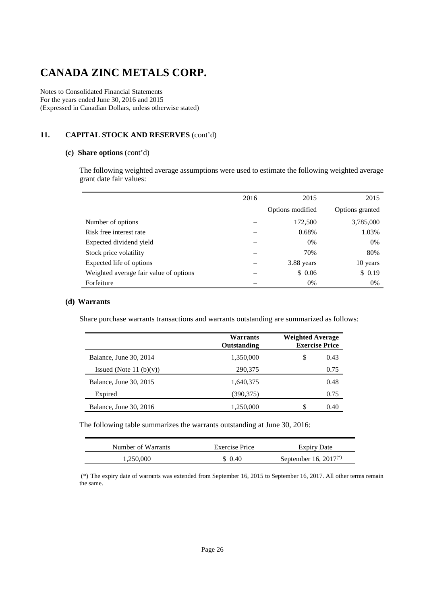Notes to Consolidated Financial Statements For the years ended June 30, 2016 and 2015 (Expressed in Canadian Dollars, unless otherwise stated)

### **11. CAPITAL STOCK AND RESERVES** (cont'd)

#### **(c) Share options** (cont'd)

The following weighted average assumptions were used to estimate the following weighted average grant date fair values:

|                                        | 2016 | 2015             | 2015            |
|----------------------------------------|------|------------------|-----------------|
|                                        |      | Options modified | Options granted |
| Number of options                      |      | 172,500          | 3,785,000       |
| Risk free interest rate                |      | 0.68%            | 1.03%           |
| Expected dividend yield                |      | 0%               | 0%              |
| Stock price volatility                 |      | 70%              | 80%             |
| Expected life of options               |      | 3.88 years       | 10 years        |
| Weighted average fair value of options |      | \$0.06           | \$0.19          |
| Forfeiture                             |      | 0%               | 0%              |

#### **(d) Warrants**

Share purchase warrants transactions and warrants outstanding are summarized as follows:

|                            | Warrants<br>Outstanding | <b>Weighted Average</b> | <b>Exercise Price</b> |  |
|----------------------------|-------------------------|-------------------------|-----------------------|--|
| Balance, June 30, 2014     | 1,350,000               | \$                      | 0.43                  |  |
| Issued (Note 11 $(b)(v)$ ) | 290,375                 |                         | 0.75                  |  |
| Balance, June 30, 2015     | 1,640,375               |                         | 0.48                  |  |
| Expired                    | (390, 375)              |                         | 0.75                  |  |
| Balance, June 30, 2016     | 1,250,000               | S                       | 0.40                  |  |

The following table summarizes the warrants outstanding at June 30, 2016:

| Number of Warrants | Exercise Price | <b>Expiry Date</b>         |
|--------------------|----------------|----------------------------|
| 1.250.000          | \$ 0.40        | September 16, $2017^{(*)}$ |

 (\*) The expiry date of warrants was extended from September 16, 2015 to September 16, 2017. All other terms remain the same.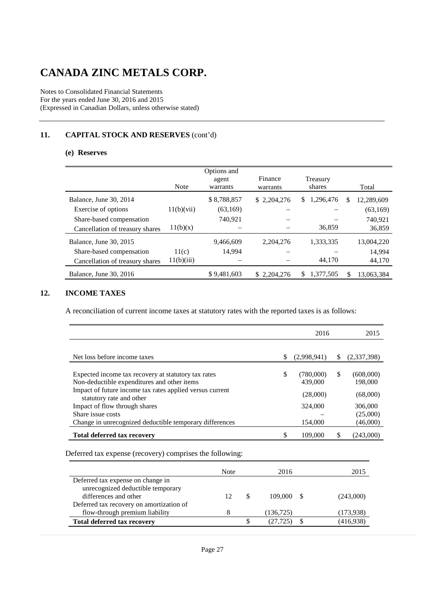Notes to Consolidated Financial Statements For the years ended June 30, 2016 and 2015 (Expressed in Canadian Dollars, unless otherwise stated)

### **11. CAPITAL STOCK AND RESERVES** (cont'd)

#### **(e) Reserves**

|                                 | <b>Note</b> | Options and<br>agent<br>warrants | Finance<br>warrants | Treasury<br>shares |   | Total      |
|---------------------------------|-------------|----------------------------------|---------------------|--------------------|---|------------|
| Balance, June 30, 2014          |             | \$8,788,857                      | \$2,204,276         | 1,296,476<br>S     | S | 12,289,609 |
| Exercise of options             | 11(b)(vii)  | (63,169)                         |                     |                    |   | (63, 169)  |
| Share-based compensation        |             | 740,921                          |                     |                    |   | 740,921    |
| Cancellation of treasury shares | 11(b)(x)    |                                  |                     | 36,859             |   | 36,859     |
| Balance, June 30, 2015          |             | 9,466,609                        | 2,204,276           | 1,333,335          |   | 13,004,220 |
| Share-based compensation        | 11(c)       | 14,994                           |                     |                    |   | 14.994     |
| Cancellation of treasury shares | 11(b)(iii)  |                                  |                     | 44,170             |   | 44,170     |
| Balance, June 30, 2016          |             | \$9,481,603                      | \$2,204,276         | 1,377,505<br>S     |   | 13,063,384 |

### **12. INCOME TAXES**

A reconciliation of current income taxes at statutory rates with the reported taxes is as follows:

|                                                                                                                                                                                                                             | 2016                                              |    | 2015                                        |
|-----------------------------------------------------------------------------------------------------------------------------------------------------------------------------------------------------------------------------|---------------------------------------------------|----|---------------------------------------------|
|                                                                                                                                                                                                                             |                                                   |    |                                             |
| Net loss before income taxes                                                                                                                                                                                                | \$<br>(2,998,941)                                 | S. | (2,337,398)                                 |
| Expected income tax recovery at statutory tax rates<br>Non-deductible expenditures and other items<br>Impact of future income tax rates applied versus current<br>statutory rate and other<br>Impact of flow through shares | \$<br>(780,000)<br>439,000<br>(28,000)<br>324,000 | S  | (608,000)<br>198,000<br>(68,000)<br>306,000 |
| Share issue costs                                                                                                                                                                                                           |                                                   |    | (25,000)                                    |
| Change in unrecognized deductible temporary differences                                                                                                                                                                     | 154,000                                           |    | (46,000)                                    |
| <b>Total deferred tax recovery</b>                                                                                                                                                                                          | 109,000                                           | \$ | (243,000)                                   |
|                                                                                                                                                                                                                             |                                                   |    |                                             |

Deferred tax expense (recovery) comprises the following:

|                                                            | Note |    | 2016       | 2015      |
|------------------------------------------------------------|------|----|------------|-----------|
| Deferred tax expense on change in                          |      |    |            |           |
| unrecognized deductible temporary<br>differences and other | 12   | -S | 109,000 S  | (243,000) |
| Deferred tax recovery on amortization of                   |      |    |            |           |
| flow-through premium liability                             |      |    | (136, 725) | (173,938) |
| <b>Total deferred tax recovery</b>                         |      | S  | (27.725    | (416,938) |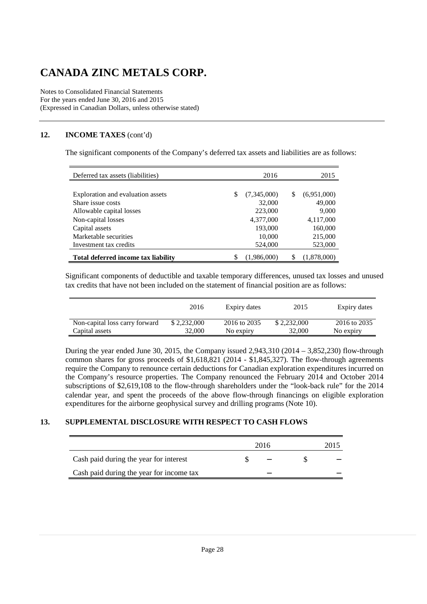Notes to Consolidated Financial Statements For the years ended June 30, 2016 and 2015 (Expressed in Canadian Dollars, unless otherwise stated)

### **12. INCOME TAXES** (cont'd)

The significant components of the Company's deferred tax assets and liabilities are as follows:

| Deferred tax assets (liabilities)          |    | 2016        |   | 2015        |
|--------------------------------------------|----|-------------|---|-------------|
|                                            |    |             |   |             |
| Exploration and evaluation assets          | S  | (7,345,000) | S | (6,951,000) |
| Share issue costs                          |    | 32,000      |   | 49,000      |
| Allowable capital losses                   |    | 223,000     |   | 9,000       |
| Non-capital losses                         |    | 4,377,000   |   | 4,117,000   |
| Capital assets                             |    | 193,000     |   | 160,000     |
| Marketable securities                      |    | 10,000      |   | 215,000     |
| Investment tax credits                     |    | 524,000     |   | 523,000     |
| <b>Total deferred income tax liability</b> | \$ | (1,986,000) | S | (1,878,000) |

Significant components of deductible and taxable temporary differences, unused tax losses and unused tax credits that have not been included on the statement of financial position are as follows:

|                                | 2016        | Expiry dates | 2015        | Expiry dates |
|--------------------------------|-------------|--------------|-------------|--------------|
| Non-capital loss carry forward | \$2,232,000 | 2016 to 2035 | \$2,232,000 | 2016 to 2035 |
| Capital assets                 | 32,000      | No expiry    | 32,000      | No expiry    |

During the year ended June 30, 2015, the Company issued 2,943,310 (2014 – 3,852,230) flow-through common shares for gross proceeds of \$1,618,821 (2014 - \$1,845,327). The flow-through agreements require the Company to renounce certain deductions for Canadian exploration expenditures incurred on the Company's resource properties. The Company renounced the February 2014 and October 2014 subscriptions of \$2,619,108 to the flow-through shareholders under the "look-back rule" for the 2014 calendar year, and spent the proceeds of the above flow-through financings on eligible exploration expenditures for the airborne geophysical survey and drilling programs (Note 10).

#### **13. SUPPLEMENTAL DISCLOSURE WITH RESPECT TO CASH FLOWS**

|                                          | 2016 | 2015 |
|------------------------------------------|------|------|
| Cash paid during the year for interest   |      |      |
| Cash paid during the year for income tax |      |      |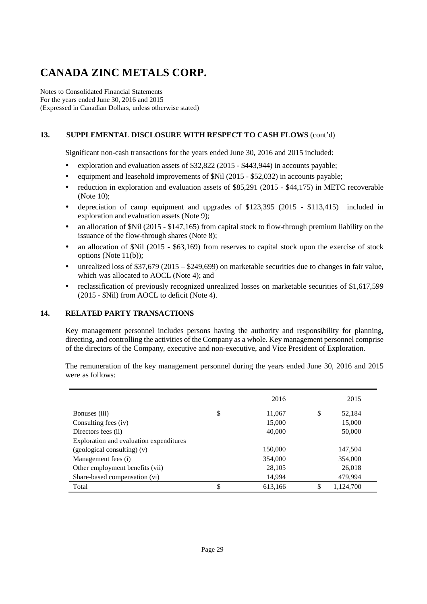Notes to Consolidated Financial Statements For the years ended June 30, 2016 and 2015 (Expressed in Canadian Dollars, unless otherwise stated)

### **13. SUPPLEMENTAL DISCLOSURE WITH RESPECT TO CASH FLOWS** (cont'd)

Significant non-cash transactions for the years ended June 30, 2016 and 2015 included:

- exploration and evaluation assets of \$32,822 (2015 \$443,944) in accounts payable;
- equipment and leasehold improvements of \$Nil (2015 \$52,032) in accounts payable;
- reduction in exploration and evaluation assets of \$85,291 (2015 \$44,175) in METC recoverable (Note 10);
- depreciation of camp equipment and upgrades of \$123,395 (2015 \$113,415) included in exploration and evaluation assets (Note 9);
- an allocation of \$Nil (2015 \$147,165) from capital stock to flow-through premium liability on the issuance of the flow-through shares (Note 8);
- an allocation of \$Nil (2015 \$63,169) from reserves to capital stock upon the exercise of stock options (Note 11(b));
- unrealized loss of \$37,679 (2015 \$249,699) on marketable securities due to changes in fair value, which was allocated to AOCL (Note 4); and
- reclassification of previously recognized unrealized losses on marketable securities of \$1,617,599 (2015 - \$Nil) from AOCL to deficit (Note 4).

### **14. RELATED PARTY TRANSACTIONS**

Key management personnel includes persons having the authority and responsibility for planning, directing, and controlling the activities of the Company as a whole. Key management personnel comprise of the directors of the Company, executive and non-executive, and Vice President of Exploration.

The remuneration of the key management personnel during the years ended June 30, 2016 and 2015 were as follows:

|                                         | 2016          | 2015            |
|-----------------------------------------|---------------|-----------------|
| Bonuses (iii)                           | \$<br>11,067  | \$<br>52,184    |
| Consulting fees (iv)                    | 15,000        | 15,000          |
| Directors fees (ii)                     | 40,000        | 50,000          |
| Exploration and evaluation expenditures |               |                 |
| (geological consulting) (v)             | 150,000       | 147,504         |
| Management fees (i)                     | 354,000       | 354,000         |
| Other employment benefits (vii)         | 28,105        | 26,018          |
| Share-based compensation (vi)           | 14,994        | 479,994         |
| Total                                   | \$<br>613,166 | \$<br>1,124,700 |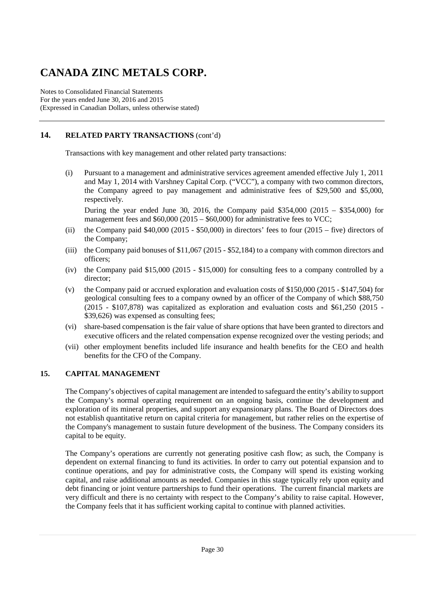Notes to Consolidated Financial Statements For the years ended June 30, 2016 and 2015 (Expressed in Canadian Dollars, unless otherwise stated)

### **14. RELATED PARTY TRANSACTIONS** (cont'd)

Transactions with key management and other related party transactions:

(i) Pursuant to a management and administrative services agreement amended effective July 1, 2011 and May 1, 2014 with Varshney Capital Corp. ("VCC"), a company with two common directors, the Company agreed to pay management and administrative fees of \$29,500 and \$5,000, respectively.

During the year ended June 30, 2016, the Company paid \$354,000 (2015 – \$354,000) for management fees and \$60,000 (2015 – \$60,000) for administrative fees to VCC;

- (ii) the Company paid  $$40,000$  (2015  $$50,000$ ) in directors' fees to four (2015 five) directors of the Company;
- (iii) the Company paid bonuses of \$11,067 (2015 \$52,184) to a company with common directors and officers;
- (iv) the Company paid \$15,000 (2015 \$15,000) for consulting fees to a company controlled by a director;
- (v) the Company paid or accrued exploration and evaluation costs of \$150,000 (2015 \$147,504) for geological consulting fees to a company owned by an officer of the Company of which \$88,750 (2015 - \$107,878) was capitalized as exploration and evaluation costs and \$61,250 (2015 - \$39,626) was expensed as consulting fees;
- (vi) share-based compensation is the fair value of share options that have been granted to directors and executive officers and the related compensation expense recognized over the vesting periods; and
- (vii) other employment benefits included life insurance and health benefits for the CEO and health benefits for the CFO of the Company.

### **15. CAPITAL MANAGEMENT**

The Company's objectives of capital management are intended to safeguard the entity's ability to support the Company's normal operating requirement on an ongoing basis, continue the development and exploration of its mineral properties, and support any expansionary plans. The Board of Directors does not establish quantitative return on capital criteria for management, but rather relies on the expertise of the Company's management to sustain future development of the business. The Company considers its capital to be equity.

The Company's operations are currently not generating positive cash flow; as such, the Company is dependent on external financing to fund its activities. In order to carry out potential expansion and to continue operations, and pay for administrative costs, the Company will spend its existing working capital, and raise additional amounts as needed. Companies in this stage typically rely upon equity and debt financing or joint venture partnerships to fund their operations. The current financial markets are very difficult and there is no certainty with respect to the Company's ability to raise capital. However, the Company feels that it has sufficient working capital to continue with planned activities.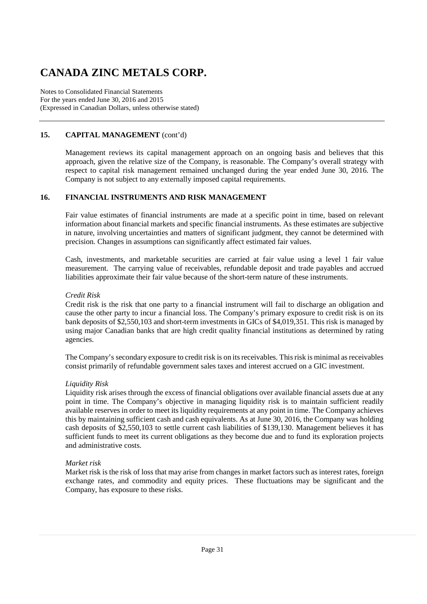Notes to Consolidated Financial Statements For the years ended June 30, 2016 and 2015 (Expressed in Canadian Dollars, unless otherwise stated)

### **15. CAPITAL MANAGEMENT** (cont'd)

Management reviews its capital management approach on an ongoing basis and believes that this approach, given the relative size of the Company, is reasonable. The Company's overall strategy with respect to capital risk management remained unchanged during the year ended June 30, 2016. The Company is not subject to any externally imposed capital requirements.

#### **16. FINANCIAL INSTRUMENTS AND RISK MANAGEMENT**

Fair value estimates of financial instruments are made at a specific point in time, based on relevant information about financial markets and specific financial instruments. As these estimates are subjective in nature, involving uncertainties and matters of significant judgment, they cannot be determined with precision. Changes in assumptions can significantly affect estimated fair values.

Cash, investments, and marketable securities are carried at fair value using a level 1 fair value measurement. The carrying value of receivables, refundable deposit and trade payables and accrued liabilities approximate their fair value because of the short-term nature of these instruments.

#### *Credit Risk*

Credit risk is the risk that one party to a financial instrument will fail to discharge an obligation and cause the other party to incur a financial loss. The Company's primary exposure to credit risk is on its bank deposits of \$2,550,103 and short-term investments in GICs of \$4,019,351. This risk is managed by using major Canadian banks that are high credit quality financial institutions as determined by rating agencies.

The Company's secondary exposure to credit risk is on its receivables. This risk is minimal as receivables consist primarily of refundable government sales taxes and interest accrued on a GIC investment.

#### *Liquidity Risk*

Liquidity risk arises through the excess of financial obligations over available financial assets due at any point in time. The Company's objective in managing liquidity risk is to maintain sufficient readily available reserves in order to meet its liquidity requirements at any point in time. The Company achieves this by maintaining sufficient cash and cash equivalents. As at June 30, 2016, the Company was holding cash deposits of \$2,550,103 to settle current cash liabilities of \$139,130. Management believes it has sufficient funds to meet its current obligations as they become due and to fund its exploration projects and administrative costs.

#### *Market risk*

Market risk is the risk of loss that may arise from changes in market factors such as interest rates, foreign exchange rates, and commodity and equity prices. These fluctuations may be significant and the Company, has exposure to these risks.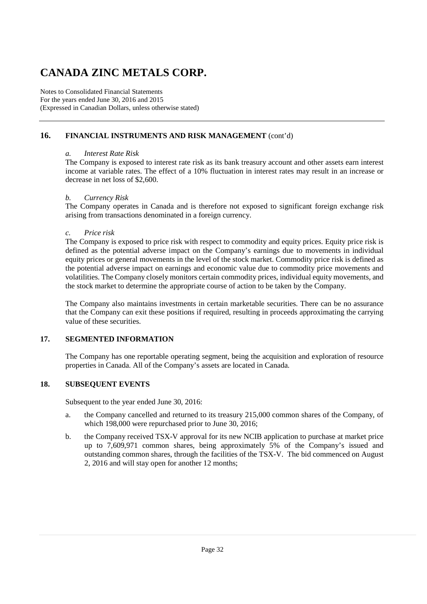Notes to Consolidated Financial Statements For the years ended June 30, 2016 and 2015 (Expressed in Canadian Dollars, unless otherwise stated)

#### **16. FINANCIAL INSTRUMENTS AND RISK MANAGEMENT** (cont'd)

#### *a. Interest Rate Risk*

The Company is exposed to interest rate risk as its bank treasury account and other assets earn interest income at variable rates. The effect of a 10% fluctuation in interest rates may result in an increase or decrease in net loss of \$2,600.

#### *b. Currency Risk*

The Company operates in Canada and is therefore not exposed to significant foreign exchange risk arising from transactions denominated in a foreign currency.

#### *c. Price risk*

The Company is exposed to price risk with respect to commodity and equity prices. Equity price risk is defined as the potential adverse impact on the Company's earnings due to movements in individual equity prices or general movements in the level of the stock market. Commodity price risk is defined as the potential adverse impact on earnings and economic value due to commodity price movements and volatilities. The Company closely monitors certain commodity prices, individual equity movements, and the stock market to determine the appropriate course of action to be taken by the Company.

The Company also maintains investments in certain marketable securities. There can be no assurance that the Company can exit these positions if required, resulting in proceeds approximating the carrying value of these securities.

#### **17. SEGMENTED INFORMATION**

The Company has one reportable operating segment, being the acquisition and exploration of resource properties in Canada. All of the Company's assets are located in Canada.

#### **18. SUBSEQUENT EVENTS**

Subsequent to the year ended June 30, 2016:

- a. the Company cancelled and returned to its treasury 215,000 common shares of the Company, of which 198,000 were repurchased prior to June 30, 2016;
- b. the Company received TSX-V approval for its new NCIB application to purchase at market price up to 7,609,971 common shares, being approximately 5% of the Company's issued and outstanding common shares, through the facilities of the TSX-V. The bid commenced on August 2, 2016 and will stay open for another 12 months;